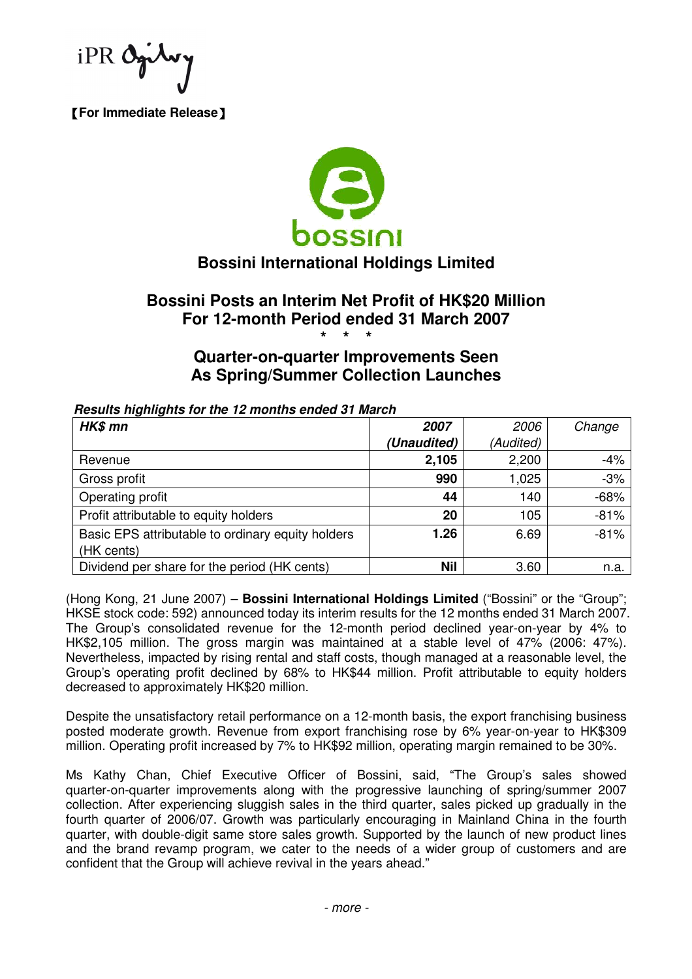【**For Immediate Release**】



# **Bossini International Holdings Limited**

## **Bossini Posts an Interim Net Profit of HK\$20 Million For 12-month Period ended 31 March 2007 \* \* \***

## **Quarter-on-quarter Improvements Seen As Spring/Summer Collection Launches**

| HK\$ mn                                           | <i><b>2007</b></i> | 2006      | Change |
|---------------------------------------------------|--------------------|-----------|--------|
|                                                   | (Unaudited)        | (Audited) |        |
| Revenue                                           | 2,105              | 2,200     | $-4%$  |
| Gross profit                                      | 990                | 1,025     | $-3%$  |
| Operating profit                                  | 44                 | 140       | $-68%$ |
| Profit attributable to equity holders             | 20                 | 105       | $-81%$ |
| Basic EPS attributable to ordinary equity holders | 1.26               | 6.69      | $-81%$ |
| (HK cents)                                        |                    |           |        |
| Dividend per share for the period (HK cents)      | <b>Nil</b>         | 3.60      | n.a.   |

#### **Results highlights for the 12 months ended 31 March**

(Hong Kong, 21 June 2007) – **Bossini International Holdings Limited** ("Bossini" or the "Group"; HKSE stock code: 592) announced today its interim results for the 12 months ended 31 March 2007. The Group's consolidated revenue for the 12-month period declined year-on-year by 4% to HK\$2,105 million. The gross margin was maintained at a stable level of 47% (2006: 47%). Nevertheless, impacted by rising rental and staff costs, though managed at a reasonable level, the Group's operating profit declined by 68% to HK\$44 million. Profit attributable to equity holders decreased to approximately HK\$20 million.

Despite the unsatisfactory retail performance on a 12-month basis, the export franchising business posted moderate growth. Revenue from export franchising rose by 6% year-on-year to HK\$309 million. Operating profit increased by 7% to HK\$92 million, operating margin remained to be 30%.

Ms Kathy Chan, Chief Executive Officer of Bossini, said, "The Group's sales showed quarter-on-quarter improvements along with the progressive launching of spring/summer 2007 collection. After experiencing sluggish sales in the third quarter, sales picked up gradually in the fourth quarter of 2006/07. Growth was particularly encouraging in Mainland China in the fourth quarter, with double-digit same store sales growth. Supported by the launch of new product lines and the brand revamp program, we cater to the needs of a wider group of customers and are confident that the Group will achieve revival in the years ahead."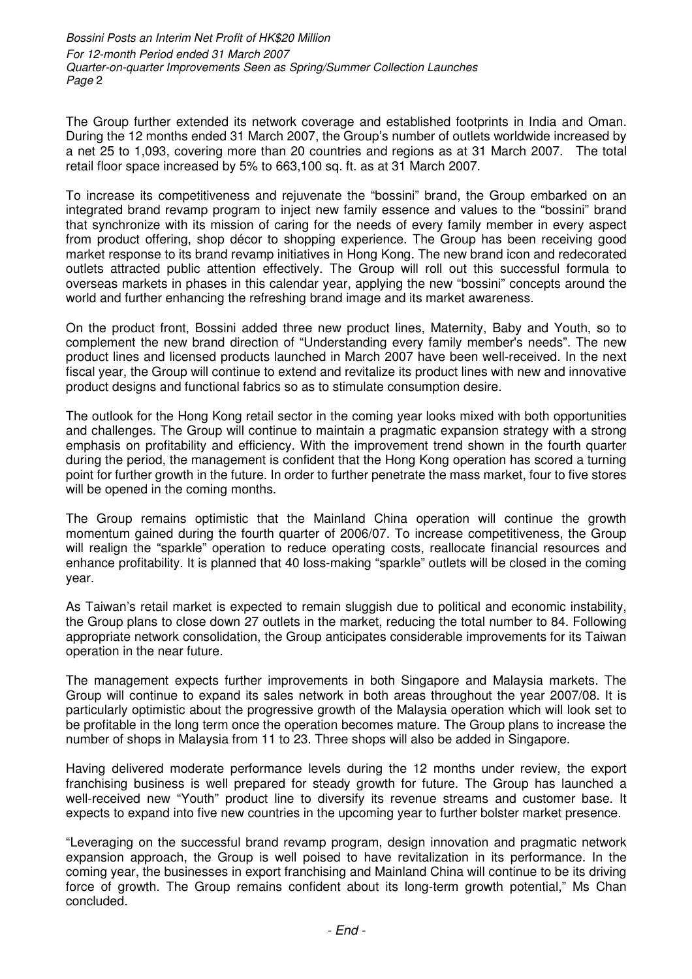Bossini Posts an Interim Net Profit of HK\$20 Million For 12-month Period ended 31 March 2007 Quarter-on-quarter Improvements Seen as Spring/Summer Collection Launches Page 2

The Group further extended its network coverage and established footprints in India and Oman. During the 12 months ended 31 March 2007, the Group's number of outlets worldwide increased by a net 25 to 1,093, covering more than 20 countries and regions as at 31 March 2007. The total retail floor space increased by 5% to 663,100 sq. ft. as at 31 March 2007.

To increase its competitiveness and rejuvenate the "bossini" brand, the Group embarked on an integrated brand revamp program to inject new family essence and values to the "bossini" brand that synchronize with its mission of caring for the needs of every family member in every aspect from product offering, shop décor to shopping experience. The Group has been receiving good market response to its brand revamp initiatives in Hong Kong. The new brand icon and redecorated outlets attracted public attention effectively. The Group will roll out this successful formula to overseas markets in phases in this calendar year, applying the new "bossini" concepts around the world and further enhancing the refreshing brand image and its market awareness.

On the product front, Bossini added three new product lines, Maternity, Baby and Youth, so to complement the new brand direction of "Understanding every family member's needs". The new product lines and licensed products launched in March 2007 have been well-received. In the next fiscal year, the Group will continue to extend and revitalize its product lines with new and innovative product designs and functional fabrics so as to stimulate consumption desire.

The outlook for the Hong Kong retail sector in the coming year looks mixed with both opportunities and challenges. The Group will continue to maintain a pragmatic expansion strategy with a strong emphasis on profitability and efficiency. With the improvement trend shown in the fourth quarter during the period, the management is confident that the Hong Kong operation has scored a turning point for further growth in the future. In order to further penetrate the mass market, four to five stores will be opened in the coming months.

The Group remains optimistic that the Mainland China operation will continue the growth momentum gained during the fourth quarter of 2006/07. To increase competitiveness, the Group will realign the "sparkle" operation to reduce operating costs, reallocate financial resources and enhance profitability. It is planned that 40 loss-making "sparkle" outlets will be closed in the coming year.

As Taiwan's retail market is expected to remain sluggish due to political and economic instability, the Group plans to close down 27 outlets in the market, reducing the total number to 84. Following appropriate network consolidation, the Group anticipates considerable improvements for its Taiwan operation in the near future.

The management expects further improvements in both Singapore and Malaysia markets. The Group will continue to expand its sales network in both areas throughout the year 2007/08. It is particularly optimistic about the progressive growth of the Malaysia operation which will look set to be profitable in the long term once the operation becomes mature. The Group plans to increase the number of shops in Malaysia from 11 to 23. Three shops will also be added in Singapore.

Having delivered moderate performance levels during the 12 months under review, the export franchising business is well prepared for steady growth for future. The Group has launched a well-received new "Youth" product line to diversify its revenue streams and customer base. It expects to expand into five new countries in the upcoming year to further bolster market presence.

"Leveraging on the successful brand revamp program, design innovation and pragmatic network expansion approach, the Group is well poised to have revitalization in its performance. In the coming year, the businesses in export franchising and Mainland China will continue to be its driving force of growth. The Group remains confident about its long-term growth potential," Ms Chan concluded.